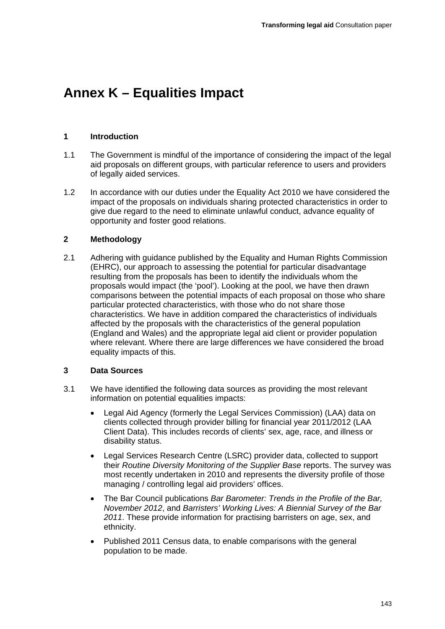# **Annex K – Equalities Impact**

# **1 Introduction**

- 1.1 The Government is mindful of the importance of considering the impact of the legal aid proposals on different groups, with particular reference to users and providers of legally aided services.
- 1.2 In accordance with our duties under the Equality Act 2010 we have considered the impact of the proposals on individuals sharing protected characteristics in order to give due regard to the need to eliminate unlawful conduct, advance equality of opportunity and foster good relations.

# **2 Methodology**

2.1 Adhering with guidance published by the Equality and Human Rights Commission (EHRC), our approach to assessing the potential for particular disadvantage resulting from the proposals has been to identify the individuals whom the proposals would impact (the 'pool'). Looking at the pool, we have then drawn comparisons between the potential impacts of each proposal on those who share particular protected characteristics, with those who do not share those characteristics. We have in addition compared the characteristics of individuals affected by the proposals with the characteristics of the general population (England and Wales) and the appropriate legal aid client or provider population where relevant. Where there are large differences we have considered the broad equality impacts of this.

# **3 Data Sources**

- 3.1 We have identified the following data sources as providing the most relevant information on potential equalities impacts:
	- Legal Aid Agency (formerly the Legal Services Commission) (LAA) data on clients collected through provider billing for financial year 2011/2012 (LAA Client Data). This includes records of clients' sex, age, race, and illness or disability status.
	- Legal Services Research Centre (LSRC) provider data, collected to support their *Routine Diversity Monitoring of the Supplier Base* reports. The survey was most recently undertaken in 2010 and represents the diversity profile of those managing / controlling legal aid providers' offices.
	- The Bar Council publications *Bar Barometer: Trends in the Profile of the Bar, November 2012*, and *Barristers' Working Lives: A Biennial Survey of the Bar 2011*. These provide information for practising barristers on age, sex, and ethnicity.
	- Published 2011 Census data, to enable comparisons with the general population to be made.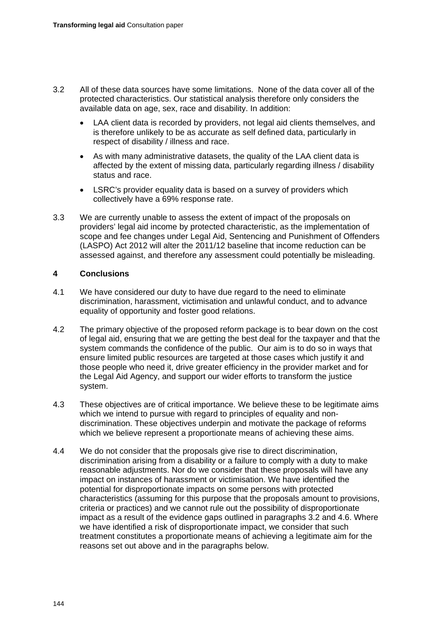- 3.2 All of these data sources have some limitations. None of the data cover all of the protected characteristics. Our statistical analysis therefore only considers the available data on age, sex, race and disability. In addition:
	- LAA client data is recorded by providers, not legal aid clients themselves, and is therefore unlikely to be as accurate as self defined data, particularly in respect of disability / illness and race.
	- As with many administrative datasets, the quality of the LAA client data is affected by the extent of missing data, particularly regarding illness / disability status and race.
	- LSRC's provider equality data is based on a survey of providers which collectively have a 69% response rate.
- 3.3 We are currently unable to assess the extent of impact of the proposals on providers' legal aid income by protected characteristic, as the implementation of scope and fee changes under Legal Aid, Sentencing and Punishment of Offenders (LASPO) Act 2012 will alter the 2011/12 baseline that income reduction can be assessed against, and therefore any assessment could potentially be misleading.

# **4 Conclusions**

- 4.1 We have considered our duty to have due regard to the need to eliminate discrimination, harassment, victimisation and unlawful conduct, and to advance equality of opportunity and foster good relations.
- 4.2 The primary objective of the proposed reform package is to bear down on the cost of legal aid, ensuring that we are getting the best deal for the taxpayer and that the system commands the confidence of the public. Our aim is to do so in ways that ensure limited public resources are targeted at those cases which justify it and those people who need it, drive greater efficiency in the provider market and for the Legal Aid Agency, and support our wider efforts to transform the justice system.
- 4.3 These objectives are of critical importance. We believe these to be legitimate aims which we intend to pursue with regard to principles of equality and nondiscrimination. These objectives underpin and motivate the package of reforms which we believe represent a proportionate means of achieving these aims.
- 4.4 We do not consider that the proposals give rise to direct discrimination, discrimination arising from a disability or a failure to comply with a duty to make reasonable adjustments. Nor do we consider that these proposals will have any impact on instances of harassment or victimisation. We have identified the potential for disproportionate impacts on some persons with protected characteristics (assuming for this purpose that the proposals amount to provisions, criteria or practices) and we cannot rule out the possibility of disproportionate impact as a result of the evidence gaps outlined in paragraphs 3.2 and 4.6. Where we have identified a risk of disproportionate impact, we consider that such treatment constitutes a proportionate means of achieving a legitimate aim for the reasons set out above and in the paragraphs below.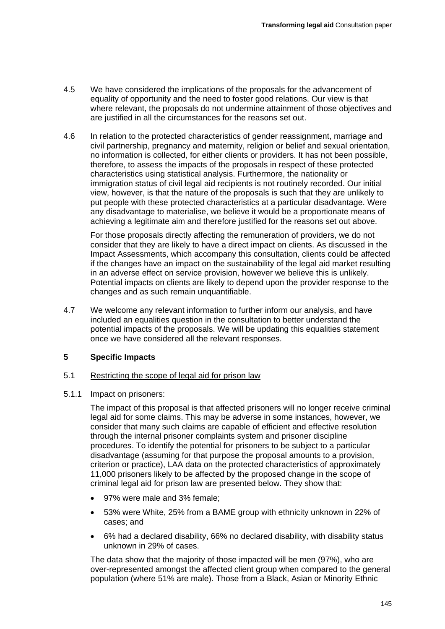- 4.5 We have considered the implications of the proposals for the advancement of equality of opportunity and the need to foster good relations. Our view is that where relevant, the proposals do not undermine attainment of those objectives and are justified in all the circumstances for the reasons set out.
- 4.6 In relation to the protected characteristics of gender reassignment, marriage and civil partnership, pregnancy and maternity, religion or belief and sexual orientation, no information is collected, for either clients or providers. It has not been possible, therefore, to assess the impacts of the proposals in respect of these protected characteristics using statistical analysis. Furthermore, the nationality or immigration status of civil legal aid recipients is not routinely recorded. Our initial view, however, is that the nature of the proposals is such that they are unlikely to put people with these protected characteristics at a particular disadvantage. Were any disadvantage to materialise, we believe it would be a proportionate means of achieving a legitimate aim and therefore justified for the reasons set out above.

For those proposals directly affecting the remuneration of providers, we do not consider that they are likely to have a direct impact on clients. As discussed in the Impact Assessments, which accompany this consultation, clients could be affected if the changes have an impact on the sustainability of the legal aid market resulting in an adverse effect on service provision, however we believe this is unlikely. Potential impacts on clients are likely to depend upon the provider response to the changes and as such remain unquantifiable.

4.7 We welcome any relevant information to further inform our analysis, and have included an equalities question in the consultation to better understand the potential impacts of the proposals. We will be updating this equalities statement once we have considered all the relevant responses.

# **5 Specific Impacts**

# 5.1 Restricting the scope of legal aid for prison law

5.1.1 Impact on prisoners:

The impact of this proposal is that affected prisoners will no longer receive criminal legal aid for some claims. This may be adverse in some instances, however, we consider that many such claims are capable of efficient and effective resolution through the internal prisoner complaints system and prisoner discipline procedures. To identify the potential for prisoners to be subject to a particular disadvantage (assuming for that purpose the proposal amounts to a provision, criterion or practice), LAA data on the protected characteristics of approximately 11,000 prisoners likely to be affected by the proposed change in the scope of criminal legal aid for prison law are presented below. They show that:

- 97% were male and 3% female;
- 53% were White, 25% from a BAME group with ethnicity unknown in 22% of cases; and
- 6% had a declared disability, 66% no declared disability, with disability status unknown in 29% of cases.

The data show that the majority of those impacted will be men (97%), who are over-represented amongst the affected client group when compared to the general population (where 51% are male). Those from a Black, Asian or Minority Ethnic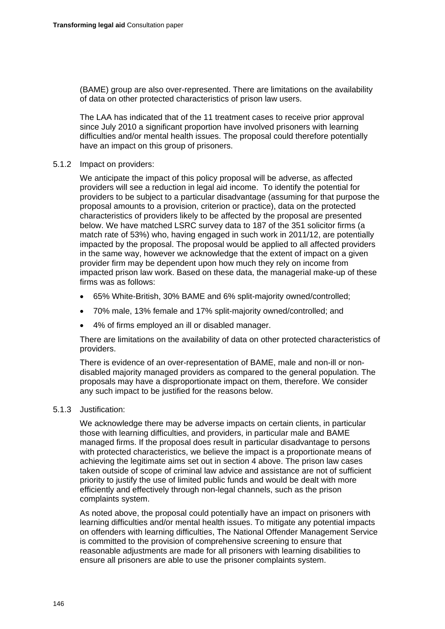(BAME) group are also over-represented. There are limitations on the availability of data on other protected characteristics of prison law users.

The LAA has indicated that of the 11 treatment cases to receive prior approval since July 2010 a significant proportion have involved prisoners with learning difficulties and/or mental health issues. The proposal could therefore potentially have an impact on this group of prisoners.

## 5.1.2 Impact on providers:

We anticipate the impact of this policy proposal will be adverse, as affected providers will see a reduction in legal aid income. To identify the potential for providers to be subject to a particular disadvantage (assuming for that purpose the proposal amounts to a provision, criterion or practice), data on the protected characteristics of providers likely to be affected by the proposal are presented below. We have matched LSRC survey data to 187 of the 351 solicitor firms (a match rate of 53%) who, having engaged in such work in 2011/12, are potentially impacted by the proposal. The proposal would be applied to all affected providers in the same way, however we acknowledge that the extent of impact on a given provider firm may be dependent upon how much they rely on income from impacted prison law work. Based on these data, the managerial make-up of these firms was as follows:

- 65% White-British, 30% BAME and 6% split-majority owned/controlled;
- 70% male, 13% female and 17% split-majority owned/controlled; and
- 4% of firms employed an ill or disabled manager.

There are limitations on the availability of data on other protected characteristics of providers.

There is evidence of an over-representation of BAME, male and non-ill or nondisabled majority managed providers as compared to the general population. The proposals may have a disproportionate impact on them, therefore. We consider any such impact to be justified for the reasons below.

#### 5.1.3 Justification:

We acknowledge there may be adverse impacts on certain clients, in particular those with learning difficulties, and providers, in particular male and BAME managed firms. If the proposal does result in particular disadvantage to persons with protected characteristics, we believe the impact is a proportionate means of achieving the legitimate aims set out in section 4 above. The prison law cases taken outside of scope of criminal law advice and assistance are not of sufficient priority to justify the use of limited public funds and would be dealt with more efficiently and effectively through non-legal channels, such as the prison complaints system.

As noted above, the proposal could potentially have an impact on prisoners with learning difficulties and/or mental health issues. To mitigate any potential impacts on offenders with learning difficulties, The National Offender Management Service is committed to the provision of comprehensive screening to ensure that reasonable adjustments are made for all prisoners with learning disabilities to ensure all prisoners are able to use the prisoner complaints system.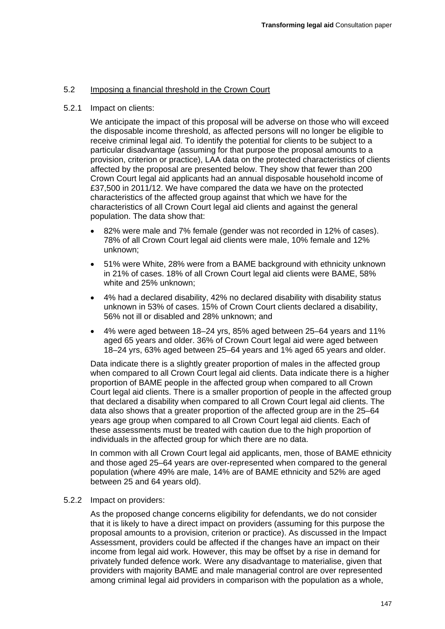# 5.2 Imposing a financial threshold in the Crown Court

#### 5.2.1 Impact on clients:

We anticipate the impact of this proposal will be adverse on those who will exceed the disposable income threshold, as affected persons will no longer be eligible to receive criminal legal aid. To identify the potential for clients to be subject to a particular disadvantage (assuming for that purpose the proposal amounts to a provision, criterion or practice), LAA data on the protected characteristics of clients affected by the proposal are presented below. They show that fewer than 200 Crown Court legal aid applicants had an annual disposable household income of £37,500 in 2011/12. We have compared the data we have on the protected characteristics of the affected group against that which we have for the characteristics of all Crown Court legal aid clients and against the general population. The data show that:

- 82% were male and 7% female (gender was not recorded in 12% of cases). 78% of all Crown Court legal aid clients were male, 10% female and 12% unknown;
- 51% were White, 28% were from a BAME background with ethnicity unknown in 21% of cases. 18% of all Crown Court legal aid clients were BAME, 58% white and 25% unknown;
- 4% had a declared disability, 42% no declared disability with disability status unknown in 53% of cases. 15% of Crown Court clients declared a disability, 56% not ill or disabled and 28% unknown; and
- 4% were aged between 18–24 yrs, 85% aged between 25–64 years and 11% aged 65 years and older. 36% of Crown Court legal aid were aged between 18–24 yrs, 63% aged between 25–64 years and 1% aged 65 years and older.

Data indicate there is a slightly greater proportion of males in the affected group when compared to all Crown Court legal aid clients. Data indicate there is a higher proportion of BAME people in the affected group when compared to all Crown Court legal aid clients. There is a smaller proportion of people in the affected group that declared a disability when compared to all Crown Court legal aid clients. The data also shows that a greater proportion of the affected group are in the 25–64 years age group when compared to all Crown Court legal aid clients. Each of these assessments must be treated with caution due to the high proportion of individuals in the affected group for which there are no data.

In common with all Crown Court legal aid applicants, men, those of BAME ethnicity and those aged 25–64 years are over-represented when compared to the general population (where 49% are male, 14% are of BAME ethnicity and 52% are aged between 25 and 64 years old).

#### 5.2.2 Impact on providers:

As the proposed change concerns eligibility for defendants, we do not consider that it is likely to have a direct impact on providers (assuming for this purpose the proposal amounts to a provision, criterion or practice). As discussed in the Impact Assessment, providers could be affected if the changes have an impact on their income from legal aid work. However, this may be offset by a rise in demand for privately funded defence work. Were any disadvantage to materialise, given that providers with majority BAME and male managerial control are over represented among criminal legal aid providers in comparison with the population as a whole,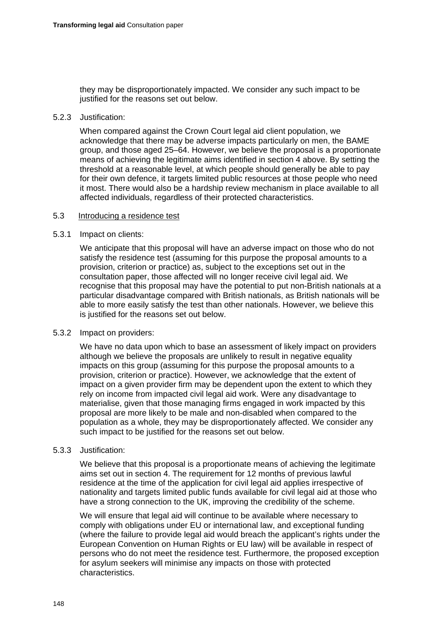they may be disproportionately impacted. We consider any such impact to be justified for the reasons set out below.

#### 5.2.3 Justification:

When compared against the Crown Court legal aid client population, we acknowledge that there may be adverse impacts particularly on men, the BAME group, and those aged 25–64. However, we believe the proposal is a proportionate means of achieving the legitimate aims identified in section 4 above. By setting the threshold at a reasonable level, at which people should generally be able to pay for their own defence, it targets limited public resources at those people who need it most. There would also be a hardship review mechanism in place available to all affected individuals, regardless of their protected characteristics.

## 5.3 Introducing a residence test

## 5.3.1 Impact on clients:

We anticipate that this proposal will have an adverse impact on those who do not satisfy the residence test (assuming for this purpose the proposal amounts to a provision, criterion or practice) as, subject to the exceptions set out in the consultation paper, those affected will no longer receive civil legal aid. We recognise that this proposal may have the potential to put non-British nationals at a particular disadvantage compared with British nationals, as British nationals will be able to more easily satisfy the test than other nationals. However, we believe this is justified for the reasons set out below.

# 5.3.2 Impact on providers:

We have no data upon which to base an assessment of likely impact on providers although we believe the proposals are unlikely to result in negative equality impacts on this group (assuming for this purpose the proposal amounts to a provision, criterion or practice). However, we acknowledge that the extent of impact on a given provider firm may be dependent upon the extent to which they rely on income from impacted civil legal aid work. Were any disadvantage to materialise, given that those managing firms engaged in work impacted by this proposal are more likely to be male and non-disabled when compared to the population as a whole, they may be disproportionately affected. We consider any such impact to be justified for the reasons set out below.

# 5.3.3 Justification:

We believe that this proposal is a proportionate means of achieving the legitimate aims set out in section 4. The requirement for 12 months of previous lawful residence at the time of the application for civil legal aid applies irrespective of nationality and targets limited public funds available for civil legal aid at those who have a strong connection to the UK, improving the credibility of the scheme.

We will ensure that legal aid will continue to be available where necessary to comply with obligations under EU or international law, and exceptional funding (where the failure to provide legal aid would breach the applicant's rights under the European Convention on Human Rights or EU law) will be available in respect of persons who do not meet the residence test. Furthermore, the proposed exception for asylum seekers will minimise any impacts on those with protected characteristics.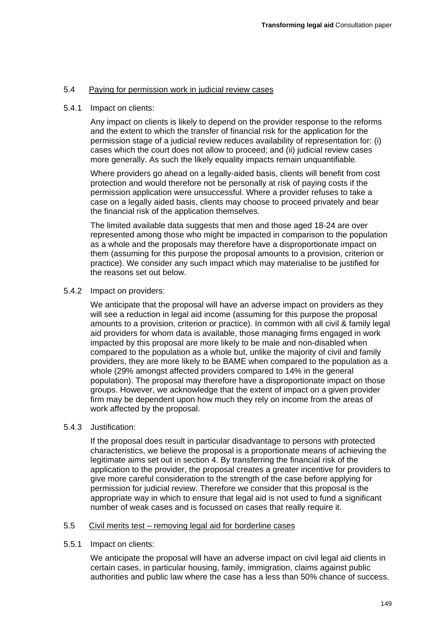# 5.4 Paying for permission work in judicial review cases

## 5.4.1 Impact on clients:

Any impact on clients is likely to depend on the provider response to the reforms and the extent to which the transfer of financial risk for the application for the permission stage of a judicial review reduces availability of representation for: (i) cases which the court does not allow to proceed; and (ii) judicial review cases more generally. As such the likely equality impacts remain unquantifiable.

Where providers go ahead on a legally-aided basis, clients will benefit from cost protection and would therefore not be personally at risk of paying costs if the permission application were unsuccessful. Where a provider refuses to take a case on a legally aided basis, clients may choose to proceed privately and bear the financial risk of the application themselves.

The limited available data suggests that men and those aged 18-24 are over represented among those who might be impacted in comparison to the population as a whole and the proposals may therefore have a disproportionate impact on them (assuming for this purpose the proposal amounts to a provision, criterion or practice). We consider any such impact which may materialise to be justified for the reasons set out below.

## 5.4.2 Impact on providers:

We anticipate that the proposal will have an adverse impact on providers as they will see a reduction in legal aid income (assuming for this purpose the proposal amounts to a provision, criterion or practice). In common with all civil & family legal aid providers for whom data is available, those managing firms engaged in work impacted by this proposal are more likely to be male and non-disabled when compared to the population as a whole but, unlike the majority of civil and family providers, they are more likely to be BAME when compared to the population as a whole (29% amongst affected providers compared to 14% in the general population). The proposal may therefore have a disproportionate impact on those groups. However, we acknowledge that the extent of impact on a given provider firm may be dependent upon how much they rely on income from the areas of work affected by the proposal.

#### 5.4.3 Justification:

If the proposal does result in particular disadvantage to persons with protected characteristics, we believe the proposal is a proportionate means of achieving the legitimate aims set out in section 4. By transferring the financial risk of the application to the provider, the proposal creates a greater incentive for providers to give more careful consideration to the strength of the case before applying for permission for judicial review. Therefore we consider that this proposal is the appropriate way in which to ensure that legal aid is not used to fund a significant number of weak cases and is focussed on cases that really require it.

#### 5.5 Civil merits test – removing legal aid for borderline cases

#### 5.5.1 Impact on clients:

We anticipate the proposal will have an adverse impact on civil legal aid clients in certain cases, in particular housing, family, immigration, claims against public authorities and public law where the case has a less than 50% chance of success.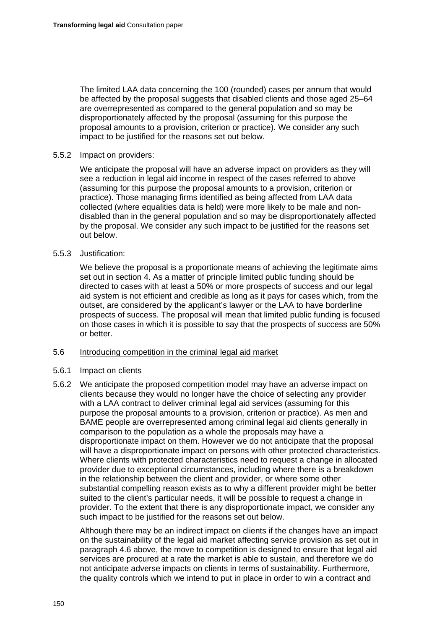The limited LAA data concerning the 100 (rounded) cases per annum that would be affected by the proposal suggests that disabled clients and those aged 25–64 are overrepresented as compared to the general population and so may be disproportionately affected by the proposal (assuming for this purpose the proposal amounts to a provision, criterion or practice). We consider any such impact to be justified for the reasons set out below.

## 5.5.2 Impact on providers:

We anticipate the proposal will have an adverse impact on providers as they will see a reduction in legal aid income in respect of the cases referred to above (assuming for this purpose the proposal amounts to a provision, criterion or practice). Those managing firms identified as being affected from LAA data collected (where equalities data is held) were more likely to be male and nondisabled than in the general population and so may be disproportionately affected by the proposal. We consider any such impact to be justified for the reasons set out below.

## 5.5.3 Justification:

We believe the proposal is a proportionate means of achieving the legitimate aims set out in section 4. As a matter of principle limited public funding should be directed to cases with at least a 50% or more prospects of success and our legal aid system is not efficient and credible as long as it pays for cases which, from the outset, are considered by the applicant's lawyer or the LAA to have borderline prospects of success. The proposal will mean that limited public funding is focused on those cases in which it is possible to say that the prospects of success are 50% or better.

# 5.6 Introducing competition in the criminal legal aid market

# 5.6.1 Impact on clients

5.6.2 We anticipate the proposed competition model may have an adverse impact on clients because they would no longer have the choice of selecting any provider with a LAA contract to deliver criminal legal aid services (assuming for this purpose the proposal amounts to a provision, criterion or practice). As men and BAME people are overrepresented among criminal legal aid clients generally in comparison to the population as a whole the proposals may have a disproportionate impact on them. However we do not anticipate that the proposal will have a disproportionate impact on persons with other protected characteristics. Where clients with protected characteristics need to request a change in allocated provider due to exceptional circumstances, including where there is a breakdown in the relationship between the client and provider, or where some other substantial compelling reason exists as to why a different provider might be better suited to the client's particular needs, it will be possible to request a change in provider. To the extent that there is any disproportionate impact, we consider any such impact to be justified for the reasons set out below.

Although there may be an indirect impact on clients if the changes have an impact on the sustainability of the legal aid market affecting service provision as set out in paragraph 4.6 above, the move to competition is designed to ensure that legal aid services are procured at a rate the market is able to sustain, and therefore we do not anticipate adverse impacts on clients in terms of sustainability. Furthermore, the quality controls which we intend to put in place in order to win a contract and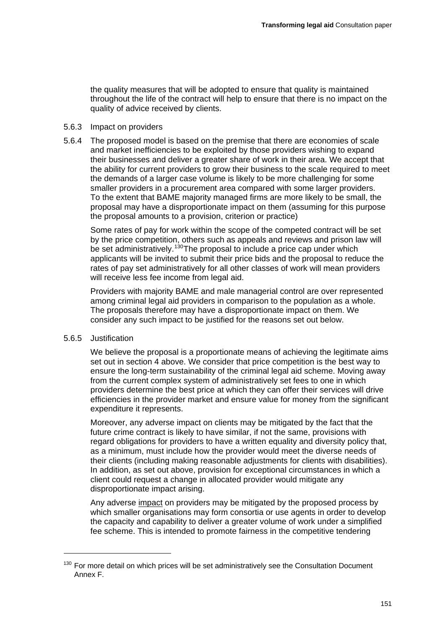the quality measures that will be adopted to ensure that quality is maintained throughout the life of the contract will help to ensure that there is no impact on the quality of advice received by clients.

#### 5.6.3 Impact on providers

5.6.4 The proposed model is based on the premise that there are economies of scale and market inefficiencies to be exploited by those providers wishing to expand their businesses and deliver a greater share of work in their area. We accept that the ability for current providers to grow their business to the scale required to meet the demands of a larger case volume is likely to be more challenging for some smaller providers in a procurement area compared with some larger providers. To the extent that BAME majority managed firms are more likely to be small, the proposal may have a disproportionate impact on them (assuming for this purpose the proposal amounts to a provision, criterion or practice)

Some rates of pay for work within the scope of the competed contract will be set by the price competition, others such as appeals and reviews and prison law will by the price componion, canceled and all processes to a price cap under which applicants will be invited to submit their price bids and the proposal to reduce the rates of pay set administratively for all other classes of work will mean providers will receive less fee income from legal aid.

Providers with majority BAME and male managerial control are over represented among criminal legal aid providers in comparison to the population as a whole. The proposals therefore may have a disproportionate impact on them. We consider any such impact to be justified for the reasons set out below.

#### 5.6.5 Justification

1

We believe the proposal is a proportionate means of achieving the legitimate aims set out in section 4 above. We consider that price competition is the best way to ensure the long-term sustainability of the criminal legal aid scheme. Moving away from the current complex system of administratively set fees to one in which providers determine the best price at which they can offer their services will drive efficiencies in the provider market and ensure value for money from the significant expenditure it represents.

Moreover, any adverse impact on clients may be mitigated by the fact that the future crime contract is likely to have similar, if not the same, provisions with regard obligations for providers to have a written equality and diversity policy that, as a minimum, must include how the provider would meet the diverse needs of their clients (including making reasonable adjustments for clients with disabilities). In addition, as set out above, provision for exceptional circumstances in which a client could request a change in allocated provider would mitigate any disproportionate impact arising.

Any adverse impact on providers may be mitigated by the proposed process by which smaller organisations may form consortia or use agents in order to develop the capacity and capability to deliver a greater volume of work under a simplified fee scheme. This is intended to promote fairness in the competitive tendering

<span id="page-8-0"></span> $130$  For more detail on which prices will be set administratively see the Consultation Document Annex F.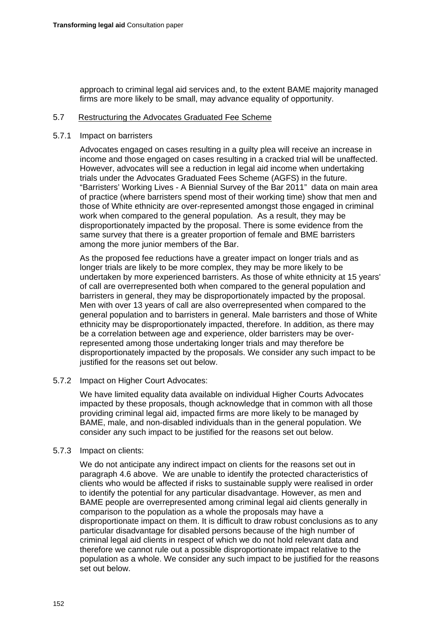approach to criminal legal aid services and, to the extent BAME majority managed firms are more likely to be small, may advance equality of opportunity.

## 5.7 Restructuring the Advocates Graduated Fee Scheme

## 5.7.1 Impact on barristers

Advocates engaged on cases resulting in a guilty plea will receive an increase in income and those engaged on cases resulting in a cracked trial will be unaffected. However, advocates will see a reduction in legal aid income when undertaking trials under the Advocates Graduated Fees Scheme (AGFS) in the future. "Barristers' Working Lives - A Biennial Survey of the Bar 2011" data on main area of practice (where barristers spend most of their working time) show that men and those of White ethnicity are over-represented amongst those engaged in criminal work when compared to the general population. As a result, they may be disproportionately impacted by the proposal. There is some evidence from the same survey that there is a greater proportion of female and BME barristers among the more junior members of the Bar.

As the proposed fee reductions have a greater impact on longer trials and as longer trials are likely to be more complex, they may be more likely to be undertaken by more experienced barristers. As those of white ethnicity at 15 years' of call are overrepresented both when compared to the general population and barristers in general, they may be disproportionately impacted by the proposal. Men with over 13 years of call are also overrepresented when compared to the general population and to barristers in general. Male barristers and those of White ethnicity may be disproportionately impacted, therefore. In addition, as there may be a correlation between age and experience, older barristers may be overrepresented among those undertaking longer trials and may therefore be disproportionately impacted by the proposals. We consider any such impact to be justified for the reasons set out below.

#### 5.7.2 Impact on Higher Court Advocates:

We have limited equality data available on individual Higher Courts Advocates impacted by these proposals, though acknowledge that in common with all those providing criminal legal aid, impacted firms are more likely to be managed by BAME, male, and non-disabled individuals than in the general population. We consider any such impact to be justified for the reasons set out below.

# 5.7.3 Impact on clients:

We do not anticipate any indirect impact on clients for the reasons set out in paragraph 4.6 above. We are unable to identify the protected characteristics of clients who would be affected if risks to sustainable supply were realised in order to identify the potential for any particular disadvantage. However, as men and BAME people are overrepresented among criminal legal aid clients generally in comparison to the population as a whole the proposals may have a disproportionate impact on them. It is difficult to draw robust conclusions as to any particular disadvantage for disabled persons because of the high number of criminal legal aid clients in respect of which we do not hold relevant data and therefore we cannot rule out a possible disproportionate impact relative to the population as a whole. We consider any such impact to be justified for the reasons set out below.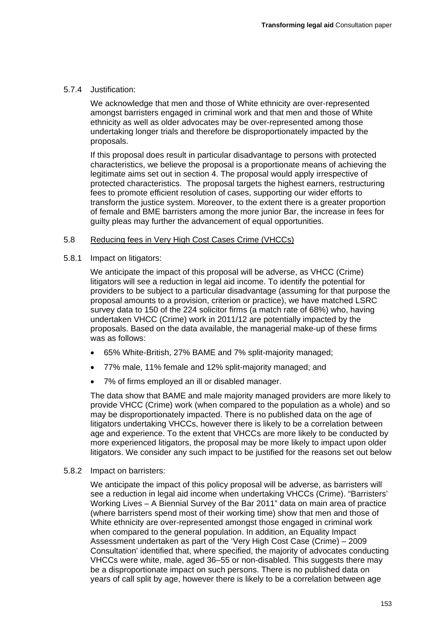#### 5.7.4 Justification:

We acknowledge that men and those of White ethnicity are over-represented amongst barristers engaged in criminal work and that men and those of White ethnicity as well as older advocates may be over-represented among those undertaking longer trials and therefore be disproportionately impacted by the proposals.

If this proposal does result in particular disadvantage to persons with protected characteristics, we believe the proposal is a proportionate means of achieving the legitimate aims set out in section 4. The proposal would apply irrespective of protected characteristics. The proposal targets the highest earners, restructuring fees to promote efficient resolution of cases, supporting our wider efforts to transform the justice system. Moreover, to the extent there is a greater proportion of female and BME barristers among the more junior Bar, the increase in fees for guilty pleas may further the advancement of equal opportunities.

#### 5.8 Reducing fees in Very High Cost Cases Crime (VHCCs)

5.8.1 Impact on litigators:

We anticipate the impact of this proposal will be adverse, as VHCC (Crime) litigators will see a reduction in legal aid income. To identify the potential for providers to be subject to a particular disadvantage (assuming for that purpose the proposal amounts to a provision, criterion or practice), we have matched LSRC survey data to 150 of the 224 solicitor firms (a match rate of 68%) who, having undertaken VHCC (Crime) work in 2011/12 are potentially impacted by the proposals. Based on the data available, the managerial make-up of these firms was as follows:

- 65% White-British, 27% BAME and 7% split-majority managed;
- 77% male, 11% female and 12% split-majority managed; and
- 7% of firms employed an ill or disabled manager.

The data show that BAME and male majority managed providers are more likely to provide VHCC (Crime) work (when compared to the population as a whole) and so may be disproportionately impacted. There is no published data on the age of litigators undertaking VHCCs, however there is likely to be a correlation between age and experience. To the extent that VHCCs are more likely to be conducted by more experienced litigators, the proposal may be more likely to impact upon older litigators. We consider any such impact to be justified for the reasons set out below

#### 5.8.2 Impact on barristers:

We anticipate the impact of this policy proposal will be adverse, as barristers will see a reduction in legal aid income when undertaking VHCCs (Crime). "Barristers' Working Lives – A Biennial Survey of the Bar 2011" data on main area of practice (where barristers spend most of their working time) show that men and those of White ethnicity are over-represented amongst those engaged in criminal work when compared to the general population. In addition, an Equality Impact Assessment undertaken as part of the 'Very High Cost Case (Crime) – 2009 Consultation' identified that, where specified, the majority of advocates conducting VHCCs were white, male, aged 36–55 or non-disabled. This suggests there may be a disproportionate impact on such persons. There is no published data on years of call split by age, however there is likely to be a correlation between age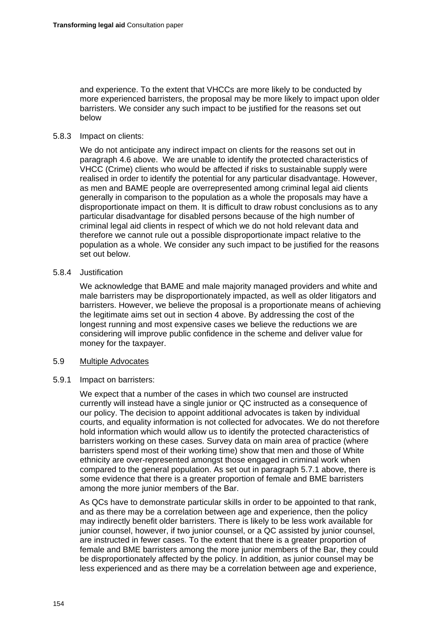and experience. To the extent that VHCCs are more likely to be conducted by more experienced barristers, the proposal may be more likely to impact upon older barristers. We consider any such impact to be justified for the reasons set out below

# 5.8.3 Impact on clients:

We do not anticipate any indirect impact on clients for the reasons set out in paragraph 4.6 above. We are unable to identify the protected characteristics of VHCC (Crime) clients who would be affected if risks to sustainable supply were realised in order to identify the potential for any particular disadvantage. However, as men and BAME people are overrepresented among criminal legal aid clients generally in comparison to the population as a whole the proposals may have a disproportionate impact on them. It is difficult to draw robust conclusions as to any particular disadvantage for disabled persons because of the high number of criminal legal aid clients in respect of which we do not hold relevant data and therefore we cannot rule out a possible disproportionate impact relative to the population as a whole. We consider any such impact to be justified for the reasons set out below.

## 5.8.4 Justification

We acknowledge that BAME and male majority managed providers and white and male barristers may be disproportionately impacted, as well as older litigators and barristers. However, we believe the proposal is a proportionate means of achieving the legitimate aims set out in section 4 above. By addressing the cost of the longest running and most expensive cases we believe the reductions we are considering will improve public confidence in the scheme and deliver value for money for the taxpayer.

#### 5.9 Multiple Advocates

#### 5.9.1 Impact on barristers:

We expect that a number of the cases in which two counsel are instructed currently will instead have a single junior or QC instructed as a consequence of our policy. The decision to appoint additional advocates is taken by individual courts, and equality information is not collected for advocates. We do not therefore hold information which would allow us to identify the protected characteristics of barristers working on these cases. Survey data on main area of practice (where barristers spend most of their working time) show that men and those of White ethnicity are over-represented amongst those engaged in criminal work when compared to the general population. As set out in paragraph 5.7.1 above, there is some evidence that there is a greater proportion of female and BME barristers among the more junior members of the Bar.

As QCs have to demonstrate particular skills in order to be appointed to that rank, and as there may be a correlation between age and experience, then the policy may indirectly benefit older barristers. There is likely to be less work available for junior counsel, however, if two junior counsel, or a QC assisted by junior counsel, are instructed in fewer cases. To the extent that there is a greater proportion of female and BME barristers among the more junior members of the Bar, they could be disproportionately affected by the policy. In addition, as junior counsel may be less experienced and as there may be a correlation between age and experience,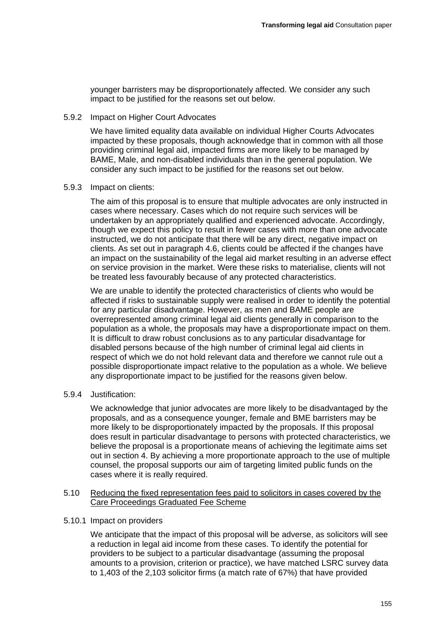younger barristers may be disproportionately affected. We consider any such impact to be justified for the reasons set out below.

5.9.2 Impact on Higher Court Advocates

We have limited equality data available on individual Higher Courts Advocates impacted by these proposals, though acknowledge that in common with all those providing criminal legal aid, impacted firms are more likely to be managed by BAME, Male, and non-disabled individuals than in the general population. We consider any such impact to be justified for the reasons set out below.

#### 5.9.3 Impact on clients:

The aim of this proposal is to ensure that multiple advocates are only instructed in cases where necessary. Cases which do not require such services will be undertaken by an appropriately qualified and experienced advocate. Accordingly, though we expect this policy to result in fewer cases with more than one advocate instructed, we do not anticipate that there will be any direct, negative impact on clients. As set out in paragraph 4.6, clients could be affected if the changes have an impact on the sustainability of the legal aid market resulting in an adverse effect on service provision in the market. Were these risks to materialise, clients will not be treated less favourably because of any protected characteristics.

We are unable to identify the protected characteristics of clients who would be affected if risks to sustainable supply were realised in order to identify the potential for any particular disadvantage. However, as men and BAME people are overrepresented among criminal legal aid clients generally in comparison to the population as a whole, the proposals may have a disproportionate impact on them. It is difficult to draw robust conclusions as to any particular disadvantage for disabled persons because of the high number of criminal legal aid clients in respect of which we do not hold relevant data and therefore we cannot rule out a possible disproportionate impact relative to the population as a whole. We believe any disproportionate impact to be justified for the reasons given below.

5.9.4 Justification:

We acknowledge that junior advocates are more likely to be disadvantaged by the proposals, and as a consequence younger, female and BME barristers may be more likely to be disproportionately impacted by the proposals. If this proposal does result in particular disadvantage to persons with protected characteristics, we believe the proposal is a proportionate means of achieving the legitimate aims set out in section 4. By achieving a more proportionate approach to the use of multiple counsel, the proposal supports our aim of targeting limited public funds on the cases where it is really required.

#### 5.10 Reducing the fixed representation fees paid to solicitors in cases covered by the Care Proceedings Graduated Fee Scheme

#### 5.10.1 Impact on providers

We anticipate that the impact of this proposal will be adverse, as solicitors will see a reduction in legal aid income from these cases. To identify the potential for providers to be subject to a particular disadvantage (assuming the proposal amounts to a provision, criterion or practice), we have matched LSRC survey data to 1,403 of the 2,103 solicitor firms (a match rate of 67%) that have provided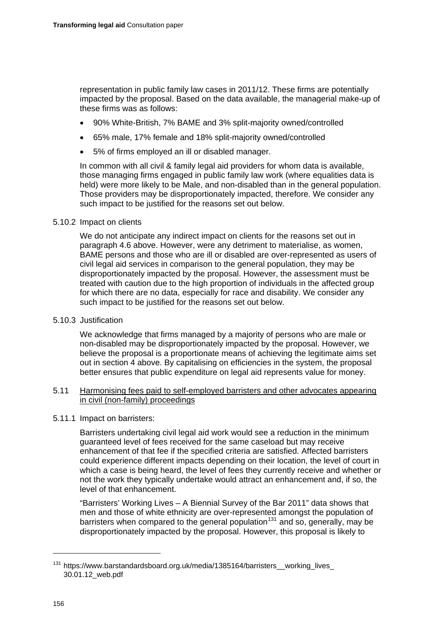representation in public family law cases in 2011/12. These firms are potentially impacted by the proposal. Based on the data available, the managerial make-up of these firms was as follows:

- 90% White-British, 7% BAME and 3% split-majority owned/controlled
- 65% male, 17% female and 18% split-majority owned/controlled
- 5% of firms employed an ill or disabled manager.

In common with all civil & family legal aid providers for whom data is available, those managing firms engaged in public family law work (where equalities data is held) were more likely to be Male, and non-disabled than in the general population. Those providers may be disproportionately impacted, therefore. We consider any such impact to be justified for the reasons set out below.

# 5.10.2 Impact on clients

We do not anticipate any indirect impact on clients for the reasons set out in paragraph 4.6 above. However, were any detriment to materialise, as women, BAME persons and those who are ill or disabled are over-represented as users of civil legal aid services in comparison to the general population, they may be disproportionately impacted by the proposal. However, the assessment must be treated with caution due to the high proportion of individuals in the affected group for which there are no data, especially for race and disability. We consider any such impact to be justified for the reasons set out below.

# 5.10.3 Justification

We acknowledge that firms managed by a majority of persons who are male or non-disabled may be disproportionately impacted by the proposal. However, we believe the proposal is a proportionate means of achieving the legitimate aims set out in section 4 above. By capitalising on efficiencies in the system, the proposal better ensures that public expenditure on legal aid represents value for money.

## 5.11 Harmonising fees paid to self-employed barristers and other advocates appearing in civil (non-family) proceedings

# 5.11.1 Impact on barristers:

Barristers undertaking civil legal aid work would see a reduction in the minimum guaranteed level of fees received for the same caseload but may receive enhancement of that fee if the specified criteria are satisfied. Affected barristers could experience different impacts depending on their location, the level of court in which a case is being heard, the level of fees they currently receive and whether or not the work they typically undertake would attract an enhancement and, if so, the level of that enhancement.

"Barristers' Working Lives – A Biennial Survey of the Bar 2011" data shows that men and those of white ethnicity are over-represented amongst the population of barristers when compared to the general population<sup>[131](#page-13-0)</sup> and so, generally, may be disproportionately impacted by the proposal. However, this proposal is likely to

-

<span id="page-13-0"></span><sup>&</sup>lt;sup>131</sup> https://www.barstandardsboard.org.uk/media/1385164/barristers\_\_working\_lives\_ [30.01.12\\_web.pdf](https://www.barstandardsboard.org.uk/media/1385164/barristers__working_lives_30.01.12_web.pdf)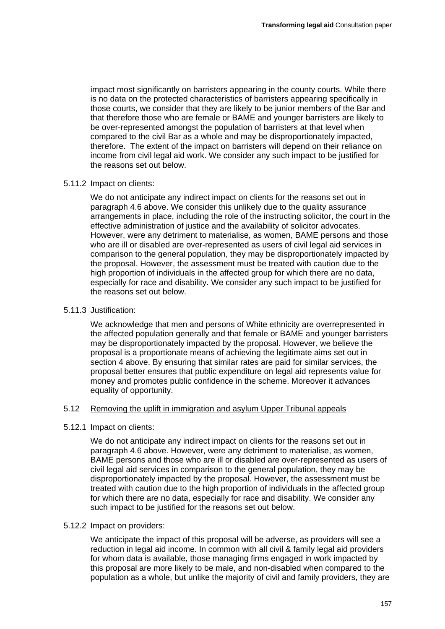impact most significantly on barristers appearing in the county courts. While there is no data on the protected characteristics of barristers appearing specifically in those courts, we consider that they are likely to be junior members of the Bar and that therefore those who are female or BAME and younger barristers are likely to be over-represented amongst the population of barristers at that level when compared to the civil Bar as a whole and may be disproportionately impacted, therefore. The extent of the impact on barristers will depend on their reliance on income from civil legal aid work. We consider any such impact to be justified for the reasons set out below.

## 5.11.2 Impact on clients:

We do not anticipate any indirect impact on clients for the reasons set out in paragraph 4.6 above. We consider this unlikely due to the quality assurance arrangements in place, including the role of the instructing solicitor, the court in the effective administration of justice and the availability of solicitor advocates. However, were any detriment to materialise, as women, BAME persons and those who are ill or disabled are over-represented as users of civil legal aid services in comparison to the general population, they may be disproportionately impacted by the proposal. However, the assessment must be treated with caution due to the high proportion of individuals in the affected group for which there are no data, especially for race and disability. We consider any such impact to be justified for the reasons set out below.

## 5.11.3 Justification:

We acknowledge that men and persons of White ethnicity are overrepresented in the affected population generally and that female or BAME and younger barristers may be disproportionately impacted by the proposal. However, we believe the proposal is a proportionate means of achieving the legitimate aims set out in section 4 above. By ensuring that similar rates are paid for similar services, the proposal better ensures that public expenditure on legal aid represents value for money and promotes public confidence in the scheme. Moreover it advances equality of opportunity.

# 5.12 Removing the uplift in immigration and asylum Upper Tribunal appeals

# 5.12.1 Impact on clients:

We do not anticipate any indirect impact on clients for the reasons set out in paragraph 4.6 above. However, were any detriment to materialise, as women, BAME persons and those who are ill or disabled are over-represented as users of civil legal aid services in comparison to the general population, they may be disproportionately impacted by the proposal. However, the assessment must be treated with caution due to the high proportion of individuals in the affected group for which there are no data, especially for race and disability. We consider any such impact to be justified for the reasons set out below.

# 5.12.2 Impact on providers:

We anticipate the impact of this proposal will be adverse, as providers will see a reduction in legal aid income. In common with all civil & family legal aid providers for whom data is available, those managing firms engaged in work impacted by this proposal are more likely to be male, and non-disabled when compared to the population as a whole, but unlike the majority of civil and family providers, they are